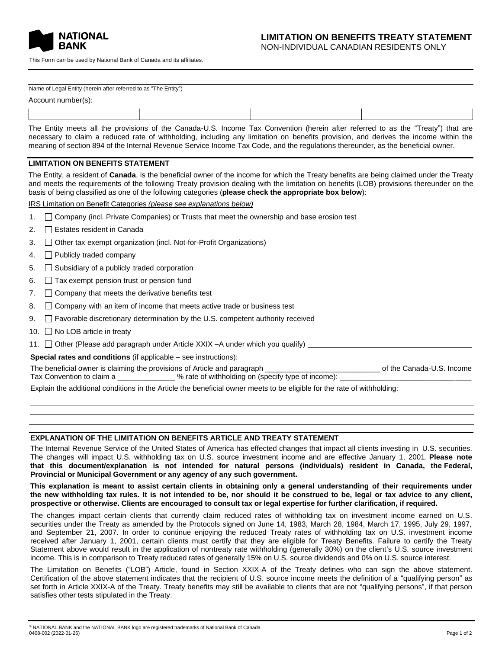

## **LIMITATION ON BENEFITS TREATY STATEMENT**

NON-INDIVIDUAL CANADIAN RESIDENTS ONLY

This Form can be used by National Bank of Canada and its affiliates.

| Name of Legal Entity (herein after referred to as "The Entity") |  |  |
|-----------------------------------------------------------------|--|--|
| Account number(s):                                              |  |  |
|                                                                 |  |  |

The Entity meets all the provisions of the Canada-U.S. Income Tax Convention (herein after referred to as the "Treaty") that are necessary to claim a reduced rate of withholding, including any limitation on benefits provision, and derives the income within the meaning of section 894 of the Internal Revenue Service Income Tax Code, and the regulations thereunder, as the beneficial owner.

### **LIMITATION ON BENEFITS STATEMENT**

The Entity, a resident of **Canada**, is the beneficial owner of the income for which the Treaty benefits are being claimed under the Treaty and meets the requirements of the following Treaty provision dealing with the limitation on benefits (LOB) provisions thereunder on the basis of being classified as one of the following categories (**please check the appropriate box below**):

IRS Limitation on Benefit Categories *(please see explanations below)*

- 1.  $\Box$  Company (incl. Private Companies) or Trusts that meet the ownership and base erosion test
- 2. Estates resident in Canada
- 3. **C** Other tax exempt organization (incl. Not-for-Profit Organizations)
- 4.  $\Box$  Publicly traded company
- 5. **Subsidiary of a publicly traded corporation**
- $6.$  Tax exempt pension trust or pension fund
- 7. **Company that meets the derivative benefits test**
- 8.  $\Box$  Company with an item of income that meets active trade or business test
- 9.  $\Box$  Favorable discretionary determination by the U.S. competent authority received
- 10. No LOB article in treaty
- 11.  $\Box$  Other (Please add paragraph under Article XXIX –A under which you qualify)

**Special rates and conditions** (if applicable – see instructions):

The beneficial owner is claiming the provisions of Article and paragraph **the canada-U.S.** Income Tax Convention to claim a \_\_\_\_\_\_\_\_\_\_\_\_\_\_\_\_ % rate of withholding on (specify type of income):

Explain the additional conditions in the Article the beneficial owner meets to be eligible for the rate of withholding:

## **EXPLANATION OF THE LIMITATION ON BENEFITS ARTICLE AND TREATY STATEMENT**

The Internal Revenue Service of the United States of America has effected changes that impact all clients investing in U.S. securities. The changes will impact U.S. withholding tax on U.S. source investment income and are effective January 1, 2001. **Please note that this document/explanation is not intended for natural persons (individuals) resident in Canada, the Federal, Provincial or Municipal Government or any agency of any such government.**

This explanation is meant to assist certain clients in obtaining only a general understanding of their requirements under **the new withholding tax rules. It is not intended to be, nor should it be construed to be, legal or tax advice to any client,** prospective or otherwise. Clients are encouraged to consult tax or legal expertise for further clarification, if required.

The changes impact certain clients that currently claim reduced rates of withholding tax on investment income earned on U.S. securities under the Treaty as amended by the Protocols signed on June 14, 1983, March 28, 1984, March 17, 1995, July 29, 1997, and September 21, 2007. In order to continue enjoying the reduced Treaty rates of withholding tax on U.S. investment income received after January 1, 2001, certain clients must certify that they are eligible for Treaty Benefits. Failure to certify the Treaty Statement above would result in the application of nontreaty rate withholding (generally 30%) on the client's U.S. source investment income. This is in comparison to Treaty reduced rates of generally 15% on U.S. source dividends and 0% on U.S. source interest.

The Limitation on Benefits ("LOB") Article, found in Section XXIX-A of the Treaty defines who can sign the above statement. Certification of the above statement indicates that the recipient of U.S. source income meets the definition of a "qualifying person" as set forth in Article XXIX-A of the Treaty. Treaty benefits may still be available to clients that are not "qualifying persons", if that person satisfies other tests stipulated in the Treaty.